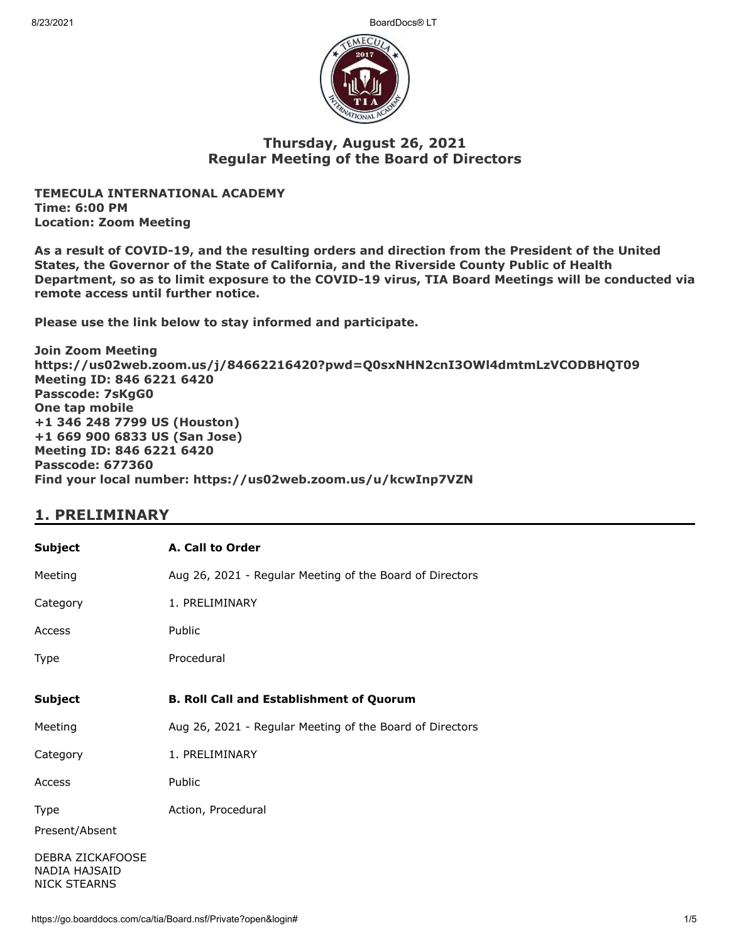8/23/2021 BoardDocs® LT



## **Thursday, August 26, 2021 Regular Meeting of the Board of Directors**

**TEMECULA INTERNATIONAL ACADEMY Time: 6:00 PM Location: Zoom Meeting**

**As a result of COVID-19, and the resulting orders and direction from the President of the United States, the Governor of the State of California, and the Riverside County Public of Health Department, so as to limit exposure to the COVID-19 virus, TIA Board Meetings will be conducted via remote access until further notice.**

**Please use the link below to stay informed and participate.** 

**Join Zoom Meeting https://us02web.zoom.us/j/84662216420?pwd=Q0sxNHN2cnI3OWl4dmtmLzVCODBHQT09 Meeting ID: 846 6221 6420 Passcode: 7sKgG0 One tap mobile +1 346 248 7799 US (Houston) +1 669 900 6833 US (San Jose) Meeting ID: 846 6221 6420 Passcode: 677360 Find your local number: https://us02web.zoom.us/u/kcwInp7VZN**

# **1. PRELIMINARY**

| <b>Subject</b>                                           | A. Call to Order                                         |
|----------------------------------------------------------|----------------------------------------------------------|
| Meeting                                                  | Aug 26, 2021 - Regular Meeting of the Board of Directors |
| Category                                                 | 1. PRELIMINARY                                           |
| Access                                                   | Public                                                   |
| Type                                                     | Procedural                                               |
| <b>Subject</b>                                           | <b>B. Roll Call and Establishment of Quorum</b>          |
| Meeting                                                  | Aug 26, 2021 - Regular Meeting of the Board of Directors |
| Category                                                 | 1. PRELIMINARY                                           |
| Access                                                   | Public                                                   |
| Type<br>Present/Absent                                   | Action, Procedural                                       |
| DEBRA ZICKAFOOSE<br>NADIA HAJSAID<br><b>NICK STEARNS</b> |                                                          |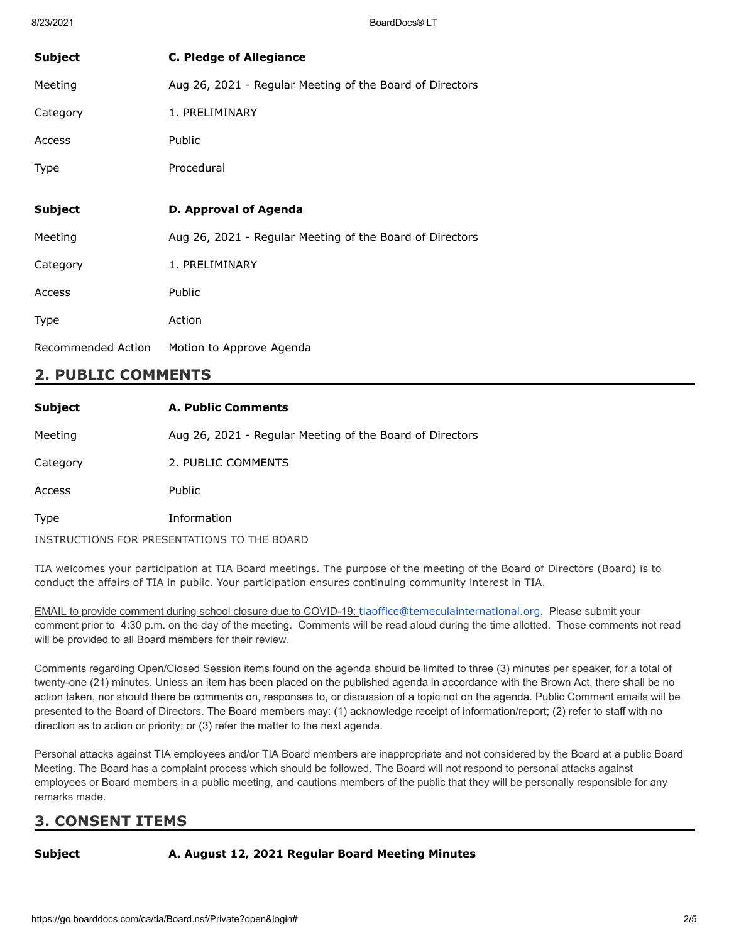| <b>Subject</b> | <b>C. Pledge of Allegiance</b>                           |
|----------------|----------------------------------------------------------|
| Meeting        | Aug 26, 2021 - Regular Meeting of the Board of Directors |
| Category       | 1. PRELIMINARY                                           |
| Access         | Public                                                   |
| Type           | Procedural                                               |
|                |                                                          |
|                |                                                          |
| <b>Subject</b> | D. Approval of Agenda                                    |
| Meeting        | Aug 26, 2021 - Regular Meeting of the Board of Directors |
| Category       | 1. PRELIMINARY                                           |
| Access         | Public                                                   |
| Type           | Action                                                   |

# **2. PUBLIC COMMENTS**

| <b>Subject</b> | <b>A. Public Comments</b>                                |
|----------------|----------------------------------------------------------|
| Meeting        | Aug 26, 2021 - Regular Meeting of the Board of Directors |
| Category       | 2. PUBLIC COMMENTS                                       |
| Access         | Public                                                   |
| <b>Type</b>    | Information                                              |
|                | INSTRUCTIONS FOR PRESENTATIONS TO THE BOARD              |

TIA welcomes your participation at TIA Board meetings. The purpose of the meeting of the Board of Directors (Board) is to conduct the affairs of TIA in public. Your participation ensures continuing community interest in TIA.

EMAIL to provide comment during school closure due to COVID-19: [tiaoffice@temeculainternational.org](mailto:tiaoffice@temeculainternational.org). Please submit your comment prior to 4:30 p.m. on the day of the meeting. Comments will be read aloud during the time allotted. Those comments not read will be provided to all Board members for their review.

Comments regarding Open/Closed Session items found on the agenda should be limited to three (3) minutes per speaker, for a total of twenty-one (21) minutes. Unless an item has been placed on the published agenda in accordance with the Brown Act, there shall be no action taken, nor should there be comments on, responses to, or discussion of a topic not on the agenda. Public Comment emails will be presented to the Board of Directors. The Board members may: (1) acknowledge receipt of information/report; (2) refer to staff with no direction as to action or priority; or (3) refer the matter to the next agenda.

Personal attacks against TIA employees and/or TIA Board members are inappropriate and not considered by the Board at a public Board Meeting. The Board has a complaint process which should be followed. The Board will not respond to personal attacks against employees or Board members in a public meeting, and cautions members of the public that they will be personally responsible for any remarks made.

# **3. CONSENT ITEMS**

### **Subject A. August 12, 2021 Regular Board Meeting Minutes**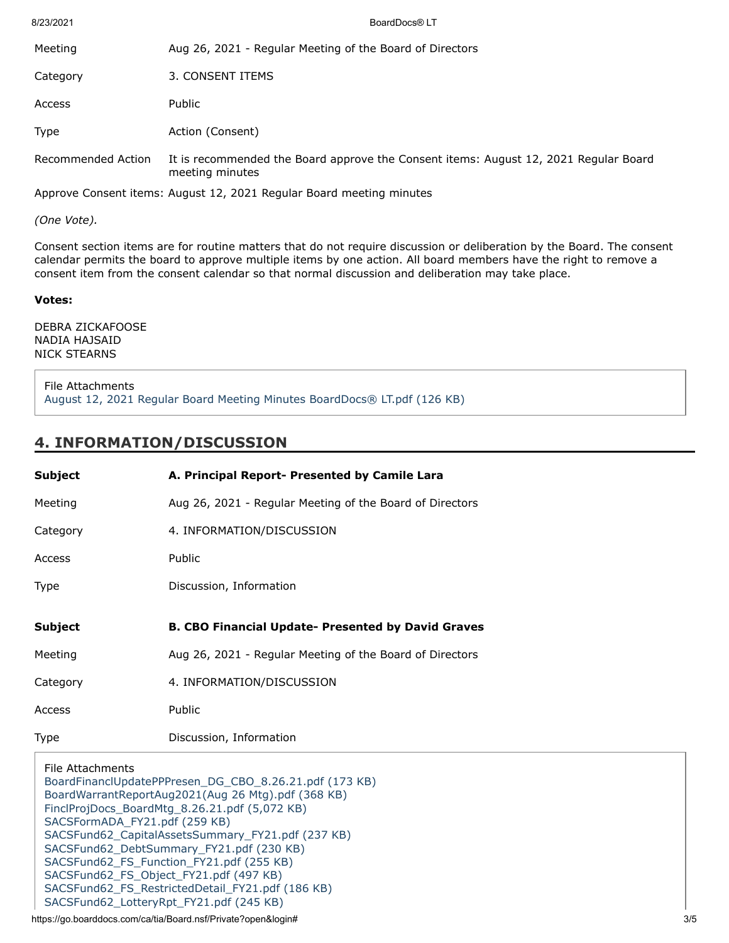| 8/23/2021          | BoardDocs® LT                                                                                           |
|--------------------|---------------------------------------------------------------------------------------------------------|
| Meeting            | Aug 26, 2021 - Regular Meeting of the Board of Directors                                                |
| Category           | 3. CONSENT ITEMS                                                                                        |
| Access             | Public                                                                                                  |
| <b>Type</b>        | Action (Consent)                                                                                        |
| Recommended Action | It is recommended the Board approve the Consent items: August 12, 2021 Regular Board<br>meeting minutes |
|                    | Approve Consent items: August 12, 2021 Regular Board meeting minutes                                    |

*(One Vote).*

Consent section items are for routine matters that do not require discussion or deliberation by the Board. The consent calendar permits the board to approve multiple items by one action. All board members have the right to remove a consent item from the consent calendar so that normal discussion and deliberation may take place.

#### **Votes:**

DEBRA ZICKAFOOSE NADIA HAJSAID NICK STEARNS

File Attachments [August 12, 2021 Regular Board Meeting Minutes BoardDocs® LT.pdf \(126 KB\)](https://go.boarddocs.com/ca/tia/Board.nsf/files/C66SZ5750D48/$file/August%2012%2C%202021%20Regular%20Board%20Meeting%20Minutes%20BoardDocs%C2%AE%20LT.pdf)

### **4. INFORMATION/DISCUSSION**

| <b>Subject</b> | A. Principal Report- Presented by Camile Lara             |
|----------------|-----------------------------------------------------------|
| Meeting        | Aug 26, 2021 - Regular Meeting of the Board of Directors  |
| Category       | 4. INFORMATION/DISCUSSION                                 |
| Access         | Public                                                    |
| <b>Type</b>    | Discussion, Information                                   |
|                |                                                           |
|                |                                                           |
| <b>Subject</b> | <b>B. CBO Financial Update- Presented by David Graves</b> |
| Meeting        | Aug 26, 2021 - Regular Meeting of the Board of Directors  |
| Category       | 4. INFORMATION/DISCUSSION                                 |
| Access         | Public                                                    |

File Attachments [BoardFinanclUpdatePPPresen\\_DG\\_CBO\\_8.26.21.pdf \(173 KB\)](https://go.boarddocs.com/ca/tia/Board.nsf/files/C672GS022708/$file/BoardFinanclUpdatePPPresen_DG_CBO_8.26.21.pdf) [BoardWarrantReportAug2021\(Aug 26 Mtg\).pdf \(368 KB\)](https://go.boarddocs.com/ca/tia/Board.nsf/files/C672GU02273F/$file/BoardWarrantReportAug2021(Aug%2026%20Mtg).pdf) [FinclProjDocs\\_BoardMtg\\_8.26.21.pdf \(5,072 KB\)](https://go.boarddocs.com/ca/tia/Board.nsf/files/C672GW0229E1/$file/FinclProjDocs_BoardMtg_8.26.21.pdf) [SACSFormADA\\_FY21.pdf \(259 KB\)](https://go.boarddocs.com/ca/tia/Board.nsf/files/C672GY022A0F/$file/SACSFormADA_FY21.pdf) [SACSFund62\\_CapitalAssetsSummary\\_FY21.pdf \(237 KB\)](https://go.boarddocs.com/ca/tia/Board.nsf/files/C672H2022A33/$file/SACSFund62_CapitalAssetsSummary_FY21.pdf) [SACSFund62\\_DebtSummary\\_FY21.pdf \(230 KB\)](https://go.boarddocs.com/ca/tia/Board.nsf/files/C672H4022A58/$file/SACSFund62_DebtSummary_FY21.pdf) [SACSFund62\\_FS\\_Function\\_FY21.pdf \(255 KB\)](https://go.boarddocs.com/ca/tia/Board.nsf/files/C672H6022A83/$file/SACSFund62_FS_Function_FY21.pdf) [SACSFund62\\_FS\\_Object\\_FY21.pdf \(497 KB\)](https://go.boarddocs.com/ca/tia/Board.nsf/files/C672H8022AC8/$file/SACSFund62_FS_Object_FY21.pdf) [SACSFund62\\_FS\\_RestrictedDetail\\_FY21.pdf \(186 KB\)](https://go.boarddocs.com/ca/tia/Board.nsf/files/C672HA022AEB/$file/SACSFund62_FS_RestrictedDetail_FY21.pdf) [SACSFund62\\_LotteryRpt\\_FY21.pdf \(245 KB\)](https://go.boarddocs.com/ca/tia/Board.nsf/files/C672HC022B0F/$file/SACSFund62_LotteryRpt_FY21.pdf)

https://go.boarddocs.com/ca/tia/Board.nsf/Private?open&login# 3/5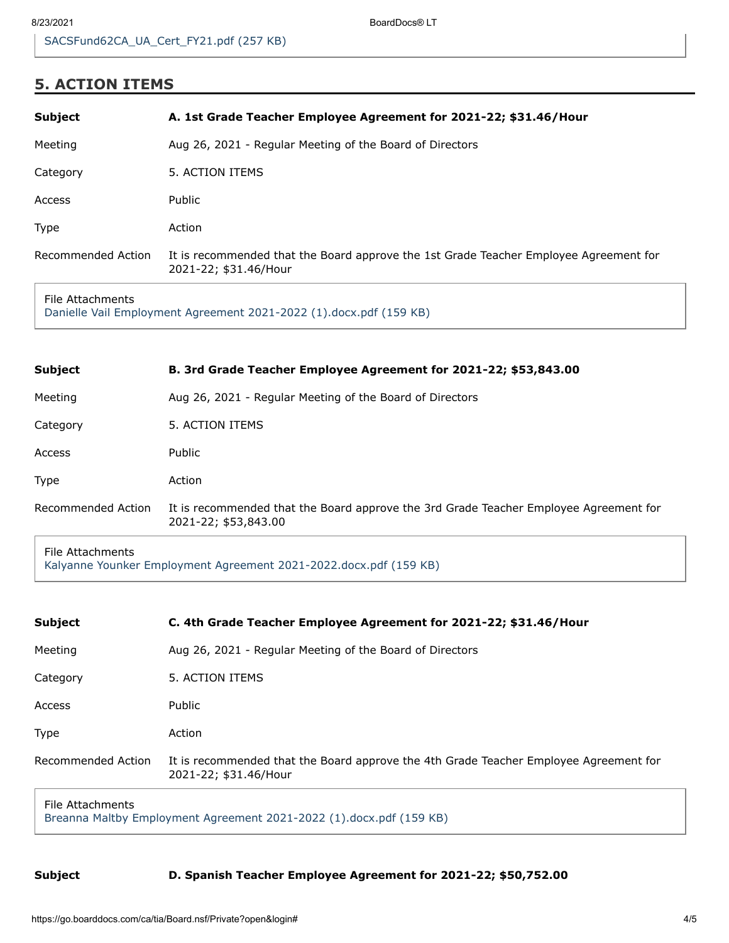8/23/2021 BoardDocs® LT

# **5. ACTION ITEMS**

| <b>Subject</b>     | A. 1st Grade Teacher Employee Agreement for 2021-22; \$31.46/Hour                                              |
|--------------------|----------------------------------------------------------------------------------------------------------------|
| Meeting            | Aug 26, 2021 - Regular Meeting of the Board of Directors                                                       |
| Category           | 5. ACTION ITEMS                                                                                                |
| Access             | Public                                                                                                         |
| Type               | Action                                                                                                         |
| Recommended Action | It is recommended that the Board approve the 1st Grade Teacher Employee Agreement for<br>2021-22; \$31.46/Hour |
|                    |                                                                                                                |

#### File Attachments [Danielle Vail Employment Agreement 2021-2022 \(1\).docx.pdf \(159 KB\)](https://go.boarddocs.com/ca/tia/Board.nsf/files/C66T5Z75C419/$file/Danielle%20Vail%20Employment%20Agreement%202021-2022%20(1).docx.pdf)

| <b>Subject</b>     | B. 3rd Grade Teacher Employee Agreement for 2021-22; \$53,843.00                                              |
|--------------------|---------------------------------------------------------------------------------------------------------------|
| Meeting            | Aug 26, 2021 - Regular Meeting of the Board of Directors                                                      |
| Category           | 5. ACTION ITEMS                                                                                               |
| Access             | <b>Public</b>                                                                                                 |
| <b>Type</b>        | Action                                                                                                        |
| Recommended Action | It is recommended that the Board approve the 3rd Grade Teacher Employee Agreement for<br>2021-22; \$53,843.00 |
|                    |                                                                                                               |

File Attachments [Kalyanne Younker Employment Agreement 2021-2022.docx.pdf \(159 KB\)](https://go.boarddocs.com/ca/tia/Board.nsf/files/C66T3D756041/$file/Kalyanne%20Younker%20Employment%20Agreement%202021-2022.docx.pdf)

| <b>Subject</b>                                                                           | C. 4th Grade Teacher Employee Agreement for 2021-22; \$31.46/Hour                                              |
|------------------------------------------------------------------------------------------|----------------------------------------------------------------------------------------------------------------|
| Meeting                                                                                  | Aug 26, 2021 - Regular Meeting of the Board of Directors                                                       |
| Category                                                                                 | 5. ACTION ITEMS                                                                                                |
| Access                                                                                   | Public                                                                                                         |
| <b>Type</b>                                                                              | Action                                                                                                         |
| Recommended Action                                                                       | It is recommended that the Board approve the 4th Grade Teacher Employee Agreement for<br>2021-22; \$31.46/Hour |
| File Attachments<br>Broanna Malthy Employment Agreement 2021, 2022 (1) deev ndf (150 VB) |                                                                                                                |

[Breanna Maltby Employment Agreement 2021-2022 \(1\).docx.pdf \(159 KB\)](https://go.boarddocs.com/ca/tia/Board.nsf/files/C66TWV7968F1/$file/Breanna%20Maltby%20Employment%20Agreement%202021-2022%20(1).docx.pdf)

### **Subject D. Spanish Teacher Employee Agreement for 2021-22; \$50,752.00**